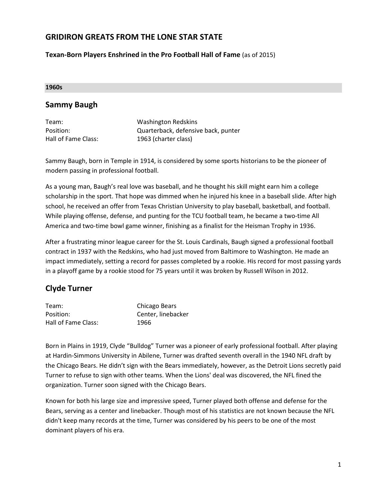### **GRIDIRON GREATS FROM THE LONE STAR STATE**

**Texan-Born Players Enshrined in the Pro Football Hall of Fame** (as of 2015)

#### **1960s**

#### **Sammy Baugh**

| Team:               | <b>Washington Redskins</b>          |
|---------------------|-------------------------------------|
| Position:           | Quarterback, defensive back, punter |
| Hall of Fame Class: | 1963 (charter class)                |

Sammy Baugh, born in Temple in 1914, is considered by some sports historians to be the pioneer of modern passing in professional football.

As a young man, Baugh's real love was baseball, and he thought his skill might earn him a college scholarship in the sport. That hope was dimmed when he injured his knee in a baseball slide. After high school, he received an offer from Texas Christian University to play baseball, basketball, and football. While playing offense, defense, and punting for the TCU football team, he became a two-time All America and two-time bowl game winner, finishing as a finalist for the Heisman Trophy in 1936.

After a frustrating minor league career for the St. Louis Cardinals, Baugh signed a professional football contract in 1937 with the Redskins, who had just moved from Baltimore to Washington. He made an impact immediately, setting a record for passes completed by a rookie. His record for most passing yards in a playoff game by a rookie stood for 75 years until it was broken by Russell Wilson in 2012.

## **Clyde Turner**

| Team:               | Chicago Bears      |
|---------------------|--------------------|
| Position:           | Center, linebacker |
| Hall of Fame Class: | 1966               |

Born in Plains in 1919, Clyde "Bulldog" Turner was a pioneer of early professional football. After playing at Hardin-Simmons University in Abilene, Turner was drafted seventh overall in the 1940 NFL draft by the Chicago Bears. He didn't sign with the Bears immediately, however, as the Detroit Lions secretly paid Turner to refuse to sign with other teams. When the Lions' deal was discovered, the NFL fined the organization. Turner soon signed with the Chicago Bears.

Known for both his large size and impressive speed, Turner played both offense and defense for the Bears, serving as a center and linebacker. Though most of his statistics are not known because the NFL didn't keep many records at the time, Turner was considered by his peers to be one of the most dominant players of his era.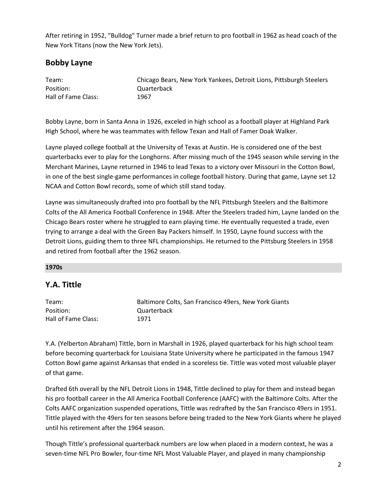After retiring in 1952, "Bulldog" Turner made a brief return to pro football in 1962 as head coach of the New York Titans (now the New York Jets).

## **Bobby Layne**

| Team:               | Chicago Bears, New York Yankees, Detroit Lions, Pittsburgh Steelers |
|---------------------|---------------------------------------------------------------------|
| Position:           | Quarterback                                                         |
| Hall of Fame Class: | 1967                                                                |

Bobby Layne, born in Santa Anna in 1926, exceled in high school as a football player at Highland Park High School, where he was teammates with fellow Texan and Hall of Famer Doak Walker.

Layne played college football at the University of Texas at Austin. He is considered one of the best quarterbacks ever to play for the Longhorns. After missing much of the 1945 season while serving in the Merchant Marines, Layne returned in 1946 to lead Texas to a victory over Missouri in the Cotton Bowl, in one of the best single-game performances in college football history. During that game, Layne set 12 NCAA and Cotton Bowl records, some of which still stand today.

Layne was simultaneously drafted into pro football by the NFL Pittsburgh Steelers and the Baltimore Colts of the All America Football Conference in 1948. After the Steelers traded him, Layne landed on the Chicago Bears roster where he struggled to earn playing time. He eventually requested a trade, even trying to arrange a deal with the Green Bay Packers himself. In 1950, Layne found success with the Detroit Lions, guiding them to three NFL championships. He returned to the Pittsburg Steelers in 1958 and retired from football after the 1962 season.

#### **1970s**

## **Y.A. Tittle**

| Team:               | Baltimore Colts, San Francisco 49ers, New York Giants |
|---------------------|-------------------------------------------------------|
| Position:           | Quarterback                                           |
| Hall of Fame Class: | 1971                                                  |

Y.A. (Yelberton Abraham) Tittle, born in Marshall in 1926, played quarterback for his high school team before becoming quarterback for Louisiana State University where he participated in the famous 1947 Cotton Bowl game against Arkansas that ended in a scoreless tie. Tittle was voted most valuable player of that game.

Drafted 6th overall by the NFL Detroit Lions in 1948, Tittle declined to play for them and instead began his pro football career in the All America Football Conference (AAFC) with the Baltimore Colts. After the Colts AAFC organization suspended operations, Tittle was redrafted by the San Francisco 49ers in 1951. Tittle played with the 49ers for ten seasons before being traded to the New York Giants where he played until his retirement after the 1964 season.

Though Tittle's professional quarterback numbers are low when placed in a modern context, he was a seven-time NFL Pro Bowler, four-time NFL Most Valuable Player, and played in many championship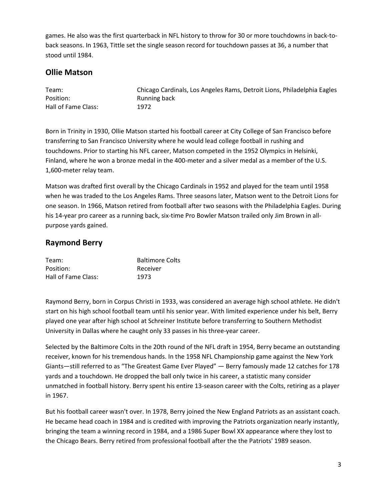games. He also was the first quarterback in NFL history to throw for 30 or more touchdowns in back-toback seasons. In 1963, Tittle set the single season record for touchdown passes at 36, a number that stood until 1984.

## **Ollie Matson**

| Team:               | Chicago Cardinals, Los Angeles Rams, Detroit Lions, Philadelphia Eagles |
|---------------------|-------------------------------------------------------------------------|
| Position:           | Running back                                                            |
| Hall of Fame Class: | 1972                                                                    |

Born in Trinity in 1930, Ollie Matson started his football career at City College of San Francisco before transferring to San Francisco University where he would lead college football in rushing and touchdowns. Prior to starting his NFL career, Matson competed in the 1952 Olympics in Helsinki, Finland, where he won a bronze medal in the 400-meter and a silver medal as a member of the U.S. 1,600-meter relay team.

Matson was drafted first overall by the Chicago Cardinals in 1952 and played for the team until 1958 when he was traded to the Los Angeles Rams. Three seasons later, Matson went to the Detroit Lions for one season. In 1966, Matson retired from football after two seasons with the Philadelphia Eagles. During his 14-year pro career as a running back, six-time Pro Bowler Matson trailed only Jim Brown in allpurpose yards gained.

# **Raymond Berry**

| Team:               | <b>Baltimore Colts</b> |
|---------------------|------------------------|
| Position:           | Receiver               |
| Hall of Fame Class: | 1973                   |

Raymond Berry, born in Corpus Christi in 1933, was considered an average high school athlete. He didn't start on his high school football team until his senior year. With limited experience under his belt, Berry played one year after high school at Schreiner Institute before transferring to Southern Methodist University in Dallas where he caught only 33 passes in his three-year career.

Selected by the Baltimore Colts in the 20th round of the NFL draft in 1954, Berry became an outstanding receiver, known for his tremendous hands. In the 1958 NFL Championship game against the New York Giants―still referred to as "The Greatest Game Ever Played" ― Berry famously made 12 catches for 178 yards and a touchdown. He dropped the ball only twice in his career, a statistic many consider unmatched in football history. Berry spent his entire 13-season career with the Colts, retiring as a player in 1967.

But his football career wasn't over. In 1978, Berry joined the New England Patriots as an assistant coach. He became head coach in 1984 and is credited with improving the Patriots organization nearly instantly, bringing the team a winning record in 1984, and a 1986 Super Bowl XX appearance where they lost to the Chicago Bears. Berry retired from professional football after the the Patriots' 1989 season.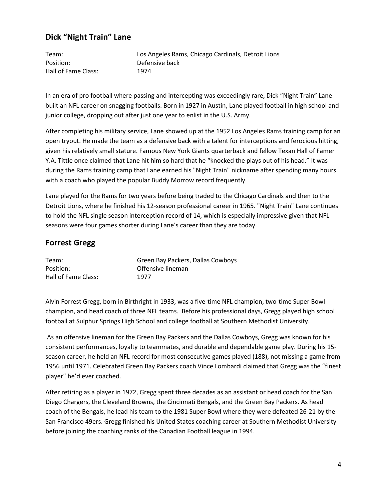## **Dick "Night Train" Lane**

Team: Los Angeles Rams, Chicago Cardinals, Detroit Lions Position: Defensive back Hall of Fame Class: 1974

In an era of pro football where passing and intercepting was exceedingly rare, Dick "Night Train" Lane built an NFL career on snagging footballs. Born in 1927 in Austin, Lane played football in high school and junior college, dropping out after just one year to enlist in the U.S. Army.

After completing his military service, Lane showed up at the 1952 Los Angeles Rams training camp for an open tryout. He made the team as a defensive back with a talent for interceptions and ferocious hitting, given his relatively small stature. Famous New York Giants quarterback and fellow Texan Hall of Famer Y.A. Tittle once claimed that Lane hit him so hard that he "knocked the plays out of his head." It was during the Rams training camp that Lane earned his "Night Train" nickname after spending many hours with a coach who played the popular Buddy Morrow record frequently.

Lane played for the Rams for two years before being traded to the Chicago Cardinals and then to the Detroit Lions, where he finished his 12-season professional career in 1965. "Night Train" Lane continues to hold the NFL single season interception record of 14, which is especially impressive given that NFL seasons were four games shorter during Lane's career than they are today.

## **Forrest Gregg**

| Team:               | Green Bay Packers, Dallas Cowboys |
|---------------------|-----------------------------------|
| Position:           | Offensive lineman                 |
| Hall of Fame Class: | 1977                              |

Alvin Forrest Gregg, born in Birthright in 1933, was a five-time NFL champion, two-time Super Bowl champion, and head coach of three NFL teams. Before his professional days, Gregg played high school football at Sulphur Springs High School and college football at Southern Methodist University.

As an offensive lineman for the Green Bay Packers and the Dallas Cowboys, Gregg was known for his consistent performances, loyalty to teammates, and durable and dependable game play. During his 15 season career, he held an NFL record for most consecutive games played (188), not missing a game from 1956 until 1971. Celebrated Green Bay Packers coach Vince Lombardi claimed that Gregg was the "finest player" he'd ever coached.

After retiring as a player in 1972, Gregg spent three decades as an assistant or head coach for the San Diego Chargers, the Cleveland Browns, the Cincinnati Bengals, and the Green Bay Packers. As head coach of the Bengals, he lead his team to the 1981 Super Bowl where they were defeated 26-21 by the San Francisco 49ers. Gregg finished his United States coaching career at Southern Methodist University before joining the coaching ranks of the Canadian Football league in 1994.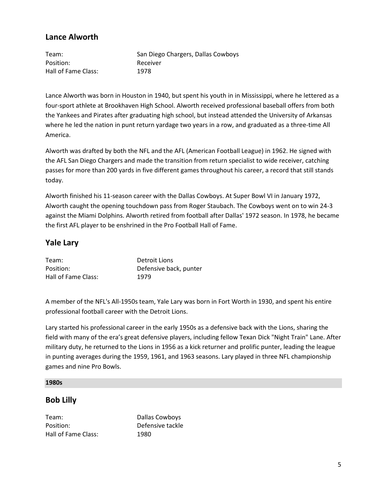## **Lance Alworth**

| Team:               | San Diego Chargers, Dallas Cowboys |
|---------------------|------------------------------------|
| Position:           | Receiver                           |
| Hall of Fame Class: | 1978                               |

Lance Alworth was born in Houston in 1940, but spent his youth in in Mississippi, where he lettered as a four-sport athlete at Brookhaven High School. Alworth received professional baseball offers from both the Yankees and Pirates after graduating high school, but instead attended the University of Arkansas where he led the nation in punt return yardage two years in a row, and graduated as a three-time All America.

Alworth was drafted by both the NFL and the AFL (American Football League) in 1962. He signed with the AFL San Diego Chargers and made the transition from return specialist to wide receiver, catching passes for more than 200 yards in five different games throughout his career, a record that still stands today.

Alworth finished his 11-season career with the Dallas Cowboys. At Super Bowl VI in January 1972, Alworth caught the opening touchdown pass from Roger Staubach. The Cowboys went on to win 24-3 against the Miami Dolphins. Alworth retired from football after Dallas' 1972 season. In 1978, he became the first AFL player to be enshrined in the Pro Football Hall of Fame.

## **Yale Lary**

| Team:               | Detroit Lions          |
|---------------------|------------------------|
| Position:           | Defensive back, punter |
| Hall of Fame Class: | 1979                   |

A member of the NFL's All-1950s team, Yale Lary was born in Fort Worth in 1930, and spent his entire professional football career with the Detroit Lions.

Lary started his professional career in the early 1950s as a defensive back with the Lions, sharing the field with many of the era's great defensive players, including fellow Texan Dick "Night Train" Lane. After military duty, he returned to the Lions in 1956 as a kick returner and prolific punter, leading the league in punting averages during the 1959, 1961, and 1963 seasons. Lary played in three NFL championship games and nine Pro Bowls.

#### **1980s**

#### **Bob Lilly**

Team: Dallas Cowboys Position: Defensive tackle Hall of Fame Class: 1980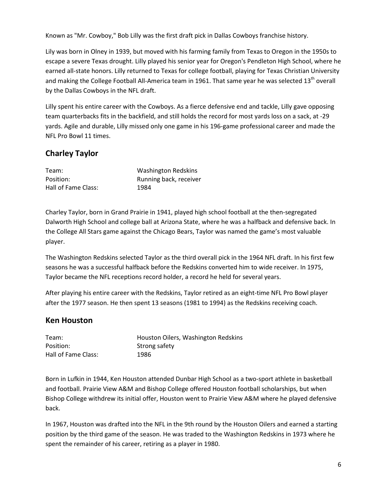Known as "Mr. Cowboy," Bob Lilly was the first draft pick in Dallas Cowboys franchise history.

Lily was born in Olney in 1939, but moved with his farming family from Texas to Oregon in the 1950s to escape a severe Texas drought. Lilly played his senior year for Oregon's Pendleton High School, where he earned all-state honors. Lilly returned to Texas for college football, playing for Texas Christian University and making the College Football All-America team in 1961. That same year he was selected 13<sup>th</sup> overall by the Dallas Cowboys in the NFL draft.

Lilly spent his entire career with the Cowboys. As a fierce defensive end and tackle, Lilly gave opposing team quarterbacks fits in the backfield, and still holds the record for most yards loss on a sack, at -29 yards. Agile and durable, Lilly missed only one game in his 196-game professional career and made the NFL Pro Bowl 11 times.

# **Charley Taylor**

| Team:               | Washington Redskins    |
|---------------------|------------------------|
| Position:           | Running back, receiver |
| Hall of Fame Class: | 1984                   |

Charley Taylor, born in Grand Prairie in 1941, played high school football at the then-segregated Dalworth High School and college ball at Arizona State, where he was a halfback and defensive back. In the College All Stars game against the Chicago Bears, Taylor was named the game's most valuable player.

The Washington Redskins selected Taylor as the third overall pick in the 1964 NFL draft. In his first few seasons he was a successful halfback before the Redskins converted him to wide receiver. In 1975, Taylor became the NFL receptions record holder, a record he held for several years.

After playing his entire career with the Redskins, Taylor retired as an eight-time NFL Pro Bowl player after the 1977 season. He then spent 13 seasons (1981 to 1994) as the Redskins receiving coach.

## **Ken Houston**

| Team:               | Houston Oilers, Washington Redskins |
|---------------------|-------------------------------------|
| Position:           | Strong safety                       |
| Hall of Fame Class: | 1986                                |

Born in Lufkin in 1944, Ken Houston attended Dunbar High School as a two-sport athlete in basketball and football. Prairie View A&M and Bishop College offered Houston football scholarships, but when Bishop College withdrew its initial offer, Houston went to Prairie View A&M where he played defensive back.

In 1967, Houston was drafted into the NFL in the 9th round by the Houston Oilers and earned a starting position by the third game of the season. He was traded to the Washington Redskins in 1973 where he spent the remainder of his career, retiring as a player in 1980.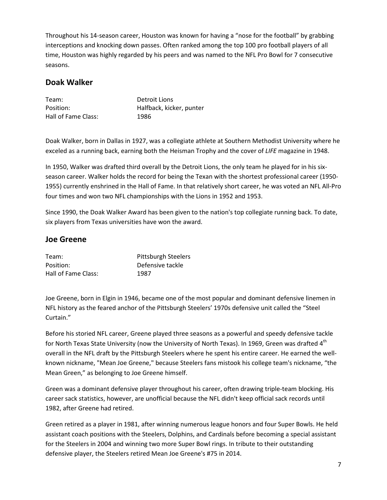Throughout his 14-season career, Houston was known for having a "nose for the football" by grabbing interceptions and knocking down passes. Often ranked among the top 100 pro football players of all time, Houston was highly regarded by his peers and was named to the NFL Pro Bowl for 7 consecutive seasons.

### **Doak Walker**

| Team:               | Detroit Lions            |
|---------------------|--------------------------|
| Position:           | Halfback, kicker, punter |
| Hall of Fame Class: | 1986                     |

Doak Walker, born in Dallas in 1927, was a collegiate athlete at Southern Methodist University where he exceled as a running back, earning both the Heisman Trophy and the cover of *LIFE* magazine in 1948.

In 1950, Walker was drafted third overall by the Detroit Lions, the only team he played for in his sixseason career. Walker holds the record for being the Texan with the shortest professional career (1950- 1955) currently enshrined in the Hall of Fame. In that relatively short career, he was voted an NFL All-Pro four times and won two NFL championships with the Lions in 1952 and 1953.

Since 1990, the Doak Walker Award has been given to the nation's top collegiate running back. To date, six players from Texas universities have won the award.

#### **Joe Greene**

| Team:               | <b>Pittsburgh Steelers</b> |
|---------------------|----------------------------|
| Position:           | Defensive tackle           |
| Hall of Fame Class: | 1987                       |

Joe Greene, born in Elgin in 1946, became one of the most popular and dominant defensive linemen in NFL history as the feared anchor of the Pittsburgh Steelers' 1970s defensive unit called the "Steel Curtain."

Before his storied NFL career, Greene played three seasons as a powerful and speedy defensive tackle for North Texas State University (now the University of North Texas). In 1969, Green was drafted 4<sup>th</sup> overall in the NFL draft by the Pittsburgh Steelers where he spent his entire career. He earned the wellknown nickname, "Mean Joe Greene," because Steelers fans mistook his college team's nickname, "the Mean Green," as belonging to Joe Greene himself.

Green was a dominant defensive player throughout his career, often drawing triple-team blocking. His career sack statistics, however, are unofficial because the NFL didn't keep official sack records until 1982, after Greene had retired.

Green retired as a player in 1981, after winning numerous league honors and four Super Bowls. He held assistant coach positions with the Steelers, Dolphins, and Cardinals before becoming a special assistant for the Steelers in 2004 and winning two more Super Bowl rings. In tribute to their outstanding defensive player, the Steelers retired Mean Joe Greene's #75 in 2014.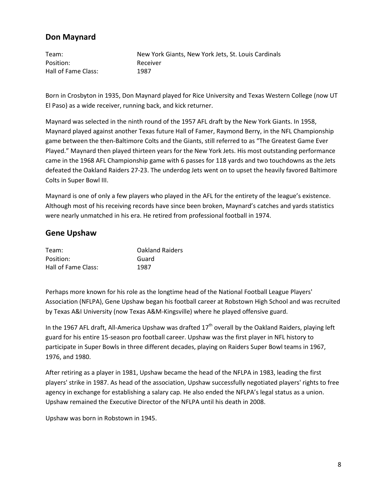## **Don Maynard**

Team: New York Giants, New York Jets, St. Louis Cardinals Position: Receiver Hall of Fame Class: 1987

Born in Crosbyton in 1935, Don Maynard played for Rice University and Texas Western College (now UT El Paso) as a wide receiver, running back, and kick returner.

Maynard was selected in the ninth round of the 1957 AFL draft by the New York Giants. In 1958, Maynard played against another Texas future Hall of Famer, Raymond Berry, in the NFL Championship game between the then-Baltimore Colts and the Giants, still referred to as "The Greatest Game Ever Played." Maynard then played thirteen years for the New York Jets. His most outstanding performance came in the 1968 AFL Championship game with 6 passes for 118 yards and two touchdowns as the Jets defeated the Oakland Raiders 27-23. The underdog Jets went on to upset the heavily favored Baltimore Colts in Super Bowl III.

Maynard is one of only a few players who played in the AFL for the entirety of the league's existence. Although most of his receiving records have since been broken, Maynard's catches and yards statistics were nearly unmatched in his era. He retired from professional football in 1974.

#### **Gene Upshaw**

| Team:               | <b>Oakland Raiders</b> |
|---------------------|------------------------|
| Position:           | Guard                  |
| Hall of Fame Class: | 1987                   |

Perhaps more known for his role as the longtime head of the National Football League Players' Association (NFLPA), Gene Upshaw began his football career at Robstown High School and was recruited by Texas A&I University (now Texas A&M-Kingsville) where he played offensive guard.

In the 1967 AFL draft, All-America Upshaw was drafted  $17<sup>th</sup>$  overall by the Oakland Raiders, playing left guard for his entire 15-season pro football career. Upshaw was the first player in NFL history to participate in Super Bowls in three different decades, playing on Raiders Super Bowl teams in 1967, 1976, and 1980.

After retiring as a player in 1981, Upshaw became the head of the NFLPA in 1983, leading the first players' strike in 1987. As head of the association, Upshaw successfully negotiated players' rights to free agency in exchange for establishing a salary cap. He also ended the NFLPA's legal status as a union. Upshaw remained the Executive Director of the NFLPA until his death in 2008.

Upshaw was born in Robstown in 1945.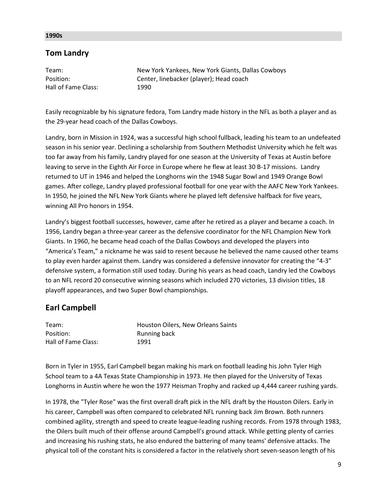#### **1990s**

## **Tom Landry**

| Team:               | New York Yankees, New York Giants, Dallas Cowboys |
|---------------------|---------------------------------------------------|
| Position:           | Center, linebacker (player); Head coach           |
| Hall of Fame Class: | 1990                                              |

Easily recognizable by his signature fedora, Tom Landry made history in the NFL as both a player and as the 29-year head coach of the Dallas Cowboys.

Landry, born in Mission in 1924, was a successful high school fullback, leading his team to an undefeated season in his senior year. Declining a scholarship from Southern Methodist University which he felt was too far away from his family, Landry played for one season at the University of Texas at Austin before leaving to serve in the Eighth Air Force in Europe where he flew at least 30 B-17 missions. Landry returned to UT in 1946 and helped the Longhorns win the 1948 Sugar Bowl and 1949 Orange Bowl games. After college, Landry played professional football for one year with the AAFC New York Yankees. In 1950, he joined the NFL New York Giants where he played left defensive halfback for five years, winning All Pro honors in 1954.

Landry's biggest football successes, however, came after he retired as a player and became a coach. In 1956, Landry began a three-year career as the defensive coordinator for the NFL Champion New York Giants. In 1960, he became head coach of the Dallas Cowboys and developed the players into "America's Team," a nickname he was said to resent because he believed the name caused other teams to play even harder against them. Landry was considered a defensive innovator for creating the "4-3" defensive system, a formation still used today. During his years as head coach, Landry led the Cowboys to an NFL record 20 consecutive winning seasons which included 270 victories, 13 division titles, 18 playoff appearances, and two Super Bowl championships.

## **Earl Campbell**

| Team:               | Houston Oilers, New Orleans Saints |
|---------------------|------------------------------------|
| Position:           | Running back                       |
| Hall of Fame Class: | 1991                               |

Born in Tyler in 1955, Earl Campbell began making his mark on football leading his John Tyler High School team to a 4A Texas State Championship in 1973. He then played for the University of Texas Longhorns in Austin where he won the 1977 Heisman Trophy and racked up 4,444 career rushing yards.

In 1978, the "Tyler Rose" was the first overall draft pick in the NFL draft by the Houston Oilers. Early in his career, Campbell was often compared to celebrated NFL running back Jim Brown. Both runners combined agility, strength and speed to create league-leading rushing records. From 1978 through 1983, the Oilers built much of their offense around Campbell's ground attack. While getting plenty of carries and increasing his rushing stats, he also endured the battering of many teams' defensive attacks. The physical toll of the constant hits is considered a factor in the relatively short seven-season length of his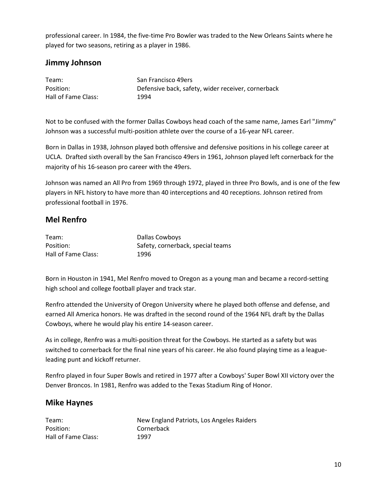professional career. In 1984, the five-time Pro Bowler was traded to the New Orleans Saints where he played for two seasons, retiring as a player in 1986.

## **Jimmy Johnson**

| Team:               | San Francisco 49ers                                |
|---------------------|----------------------------------------------------|
| Position:           | Defensive back, safety, wider receiver, cornerback |
| Hall of Fame Class: | 1994                                               |

Not to be confused with the former Dallas Cowboys head coach of the same name, James Earl "Jimmy" Johnson was a successful multi-position athlete over the course of a 16-year NFL career.

Born in Dallas in 1938, Johnson played both offensive and defensive positions in his college career at UCLA. Drafted sixth overall by the San Francisco 49ers in 1961, Johnson played left cornerback for the majority of his 16-season pro career with the 49ers.

Johnson was named an All Pro from 1969 through 1972, played in three Pro Bowls, and is one of the few players in NFL history to have more than 40 interceptions and 40 receptions. Johnson retired from professional football in 1976.

## **Mel Renfro**

| Team:               | Dallas Cowboys                    |
|---------------------|-----------------------------------|
| Position:           | Safety, cornerback, special teams |
| Hall of Fame Class: | 1996                              |

Born in Houston in 1941, Mel Renfro moved to Oregon as a young man and became a record-setting high school and college football player and track star.

Renfro attended the University of Oregon University where he played both offense and defense, and earned All America honors. He was drafted in the second round of the 1964 NFL draft by the Dallas Cowboys, where he would play his entire 14-season career.

As in college, Renfro was a multi-position threat for the Cowboys. He started as a safety but was switched to cornerback for the final nine years of his career. He also found playing time as a leagueleading punt and kickoff returner.

Renfro played in four Super Bowls and retired in 1977 after a Cowboys' Super Bowl XII victory over the Denver Broncos. In 1981, Renfro was added to the Texas Stadium Ring of Honor.

#### **Mike Haynes**

| Team:               |
|---------------------|
| Position:           |
| Hall of Fame Class: |

New England Patriots, Los Angeles Raiders Cornerback 1997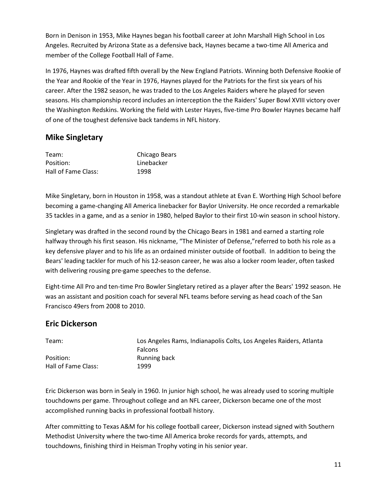Born in Denison in 1953, Mike Haynes began his football career at John Marshall High School in Los Angeles. Recruited by Arizona State as a defensive back, Haynes became a two-time All America and member of the College Football Hall of Fame.

In 1976, Haynes was drafted fifth overall by the New England Patriots. Winning both Defensive Rookie of the Year and Rookie of the Year in 1976, Haynes played for the Patriots for the first six years of his career. After the 1982 season, he was traded to the Los Angeles Raiders where he played for seven seasons. His championship record includes an interception the the Raiders' Super Bowl XVIII victory over the Washington Redskins. Working the field with Lester Hayes, five-time Pro Bowler Haynes became half of one of the toughest defensive back tandems in NFL history.

## **Mike Singletary**

| Team:               | <b>Chicago Bears</b> |
|---------------------|----------------------|
| Position:           | Linebacker           |
| Hall of Fame Class: | 1998                 |

Mike Singletary, born in Houston in 1958, was a standout athlete at Evan E. Worthing High School before becoming a game-changing All America linebacker for Baylor University. He once recorded a remarkable 35 tackles in a game, and as a senior in 1980, helped Baylor to their first 10-win season in school history.

Singletary was drafted in the second round by the Chicago Bears in 1981 and earned a starting role halfway through his first season. His nickname, "The Minister of Defense,"referred to both his role as a key defensive player and to his life as an ordained minister outside of football. In addition to being the Bears' leading tackler for much of his 12-season career, he was also a locker room leader, often tasked with delivering rousing pre-game speeches to the defense.

Eight-time All Pro and ten-time Pro Bowler Singletary retired as a player after the Bears' 1992 season. He was an assistant and position coach for several NFL teams before serving as head coach of the San Francisco 49ers from 2008 to 2010.

## **Eric Dickerson**

| Team:               | Los Angeles Rams, Indianapolis Colts, Los Angeles Raiders, Atlanta |
|---------------------|--------------------------------------------------------------------|
|                     | <b>Falcons</b>                                                     |
| Position:           | Running back                                                       |
| Hall of Fame Class: | 1999                                                               |

Eric Dickerson was born in Sealy in 1960. In junior high school, he was already used to scoring multiple touchdowns per game. Throughout college and an NFL career, Dickerson became one of the most accomplished running backs in professional football history.

After committing to Texas A&M for his college football career, Dickerson instead signed with Southern Methodist University where the two-time All America broke records for yards, attempts, and touchdowns, finishing third in Heisman Trophy voting in his senior year.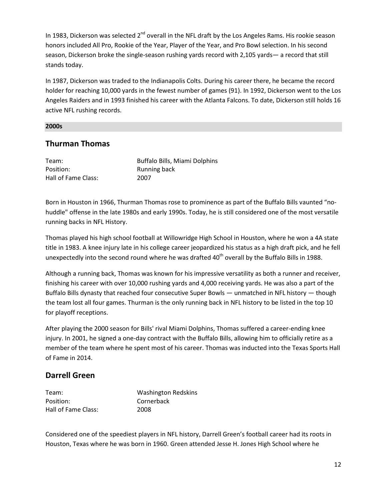In 1983, Dickerson was selected 2<sup>nd</sup> overall in the NFL draft by the Los Angeles Rams. His rookie season honors included All Pro, Rookie of the Year, Player of the Year, and Pro Bowl selection. In his second season, Dickerson broke the single-season rushing yards record with 2,105 yards― a record that still stands today.

In 1987, Dickerson was traded to the Indianapolis Colts. During his career there, he became the record holder for reaching 10,000 yards in the fewest number of games (91). In 1992, Dickerson went to the Los Angeles Raiders and in 1993 finished his career with the Atlanta Falcons. To date, Dickerson still holds 16 active NFL rushing records.

#### **2000s**

### **Thurman Thomas**

Position: Running back Hall of Fame Class: 2007

Team: Buffalo Bills, Miami Dolphins

Born in Houston in 1966, Thurman Thomas rose to prominence as part of the Buffalo Bills vaunted "nohuddle" offense in the late 1980s and early 1990s. Today, he is still considered one of the most versatile running backs in NFL History.

Thomas played his high school football at Willowridge High School in Houston, where he won a 4A state title in 1983. A knee injury late in his college career jeopardized his status as a high draft pick, and he fell unexpectedly into the second round where he was drafted 40<sup>th</sup> overall by the Buffalo Bills in 1988.

Although a running back, Thomas was known for his impressive versatility as both a runner and receiver, finishing his career with over 10,000 rushing yards and 4,000 receiving yards. He was also a part of the Buffalo Bills dynasty that reached four consecutive Super Bowls — unmatched in NFL history — though the team lost all four games. Thurman is the only running back in NFL history to be listed in the top 10 for playoff receptions.

After playing the 2000 season for Bills' rival Miami Dolphins, Thomas suffered a career-ending knee injury. In 2001, he signed a one-day contract with the Buffalo Bills, allowing him to officially retire as a member of the team where he spent most of his career. Thomas was inducted into the Texas Sports Hall of Fame in 2014.

#### **Darrell Green**

| Team:               | <b>Washington Redskins</b> |
|---------------------|----------------------------|
| Position:           | Cornerback                 |
| Hall of Fame Class: | 2008                       |

Considered one of the speediest players in NFL history, Darrell Green's football career had its roots in Houston, Texas where he was born in 1960. Green attended Jesse H. Jones High School where he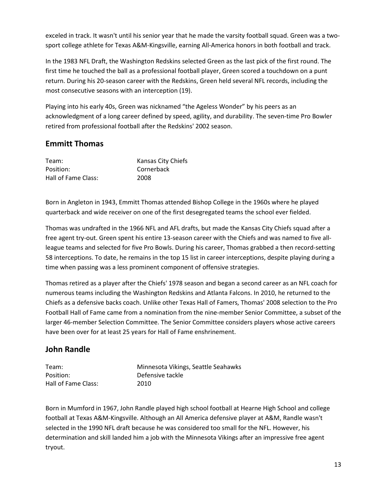exceled in track. It wasn't until his senior year that he made the varsity football squad. Green was a twosport college athlete for Texas A&M-Kingsville, earning All-America honors in both football and track.

In the 1983 NFL Draft, the Washington Redskins selected Green as the last pick of the first round. The first time he touched the ball as a professional football player, Green scored a touchdown on a punt return. During his 20-season career with the Redskins, Green held several NFL records, including the most consecutive seasons with an interception (19).

Playing into his early 40s, Green was nicknamed "the Ageless Wonder" by his peers as an acknowledgment of a long career defined by speed, agility, and durability. The seven-time Pro Bowler retired from professional football after the Redskins' 2002 season.

## **Emmitt Thomas**

| Team:               | Kansas City Chiefs |
|---------------------|--------------------|
| Position:           | Cornerback         |
| Hall of Fame Class: | 2008               |

Born in Angleton in 1943, Emmitt Thomas attended Bishop College in the 1960s where he played quarterback and wide receiver on one of the first desegregated teams the school ever fielded.

Thomas was undrafted in the 1966 NFL and AFL drafts, but made the Kansas City Chiefs squad after a free agent try-out. Green spent his entire 13-season career with the Chiefs and was named to five allleague teams and selected for five Pro Bowls. During his career, Thomas grabbed a then record-setting 58 interceptions. To date, he remains in the top 15 list in career interceptions, despite playing during a time when passing was a less prominent component of offensive strategies.

Thomas retired as a player after the Chiefs' 1978 season and began a second career as an NFL coach for numerous teams including the Washington Redskins and Atlanta Falcons. In 2010, he returned to the Chiefs as a defensive backs coach. Unlike other Texas Hall of Famers, Thomas' 2008 selection to the Pro Football Hall of Fame came from a nomination from the nine-member Senior Committee, a subset of the larger 46-member Selection Committee. The Senior Committee considers players whose active careers have been over for at least 25 years for Hall of Fame enshrinement.

# **John Randle**

| Team:               | Minnesota Vikings, Seattle Seahawks |
|---------------------|-------------------------------------|
| Position:           | Defensive tackle                    |
| Hall of Fame Class: | 2010                                |

Born in Mumford in 1967, John Randle played high school football at Hearne High School and college football at Texas A&M-Kingsville. Although an All America defensive player at A&M, Randle wasn't selected in the 1990 NFL draft because he was considered too small for the NFL. However, his determination and skill landed him a job with the Minnesota Vikings after an impressive free agent tryout.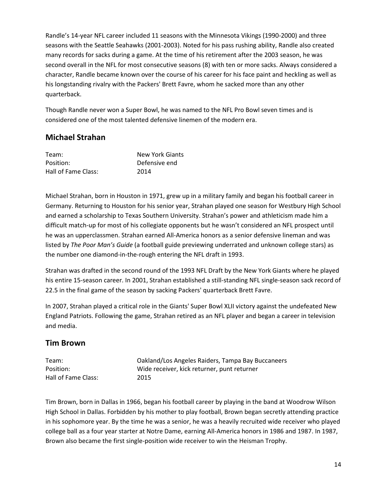Randle's 14-year NFL career included 11 seasons with the Minnesota Vikings (1990-2000) and three seasons with the Seattle Seahawks (2001-2003). Noted for his pass rushing ability, Randle also created many records for sacks during a game. At the time of his retirement after the 2003 season, he was second overall in the NFL for most consecutive seasons (8) with ten or more sacks. Always considered a character, Randle became known over the course of his career for his face paint and heckling as well as his longstanding rivalry with the Packers' Brett Favre, whom he sacked more than any other quarterback.

Though Randle never won a Super Bowl, he was named to the NFL Pro Bowl seven times and is considered one of the most talented defensive linemen of the modern era.

# **Michael Strahan**

| Team:               | <b>New York Giants</b> |
|---------------------|------------------------|
| Position:           | Defensive end          |
| Hall of Fame Class: | 2014                   |

Michael Strahan, born in Houston in 1971, grew up in a military family and began his football career in Germany. Returning to Houston for his senior year, Strahan played one season for Westbury High School and earned a scholarship to Texas Southern University. Strahan's power and athleticism made him a difficult match-up for most of his collegiate opponents but he wasn't considered an NFL prospect until he was an upperclassmen. Strahan earned All-America honors as a senior defensive lineman and was listed by *The Poor Man's Guide* (a football guide previewing underrated and unknown college stars) as the number one diamond-in-the-rough entering the NFL draft in 1993.

Strahan was drafted in the second round of the 1993 NFL Draft by the New York Giants where he played his entire 15-season career. In 2001, Strahan established a still-standing NFL single-season sack record of 22.5 in the final game of the season by sacking Packers' quarterback Brett Favre.

In 2007, Strahan played a critical role in the Giants' Super Bowl XLII victory against the undefeated New England Patriots. Following the game, Strahan retired as an NFL player and began a career in television and media.

# **Tim Brown**

| Team:               |  |
|---------------------|--|
| Position:           |  |
| Hall of Fame Class: |  |

Oakland/Los Angeles Raiders, Tampa Bay Buccaneers Wide receiver, kick returner, punt returner 2015

Tim Brown, born in Dallas in 1966, began his football career by playing in the band at Woodrow Wilson High School in Dallas. Forbidden by his mother to play football, Brown began secretly attending practice in his sophomore year. By the time he was a senior, he was a heavily recruited wide receiver who played college ball as a four year starter at Notre Dame, earning All-America honors in 1986 and 1987. In 1987, Brown also became the first single-position wide receiver to win the Heisman Trophy.